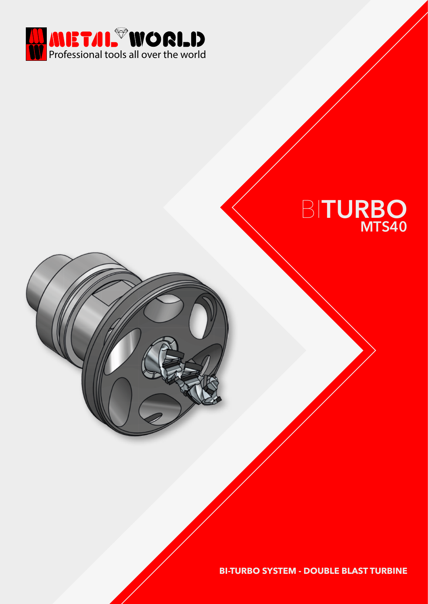

## BI**TURBO MTS40**

**BI-TURBO SYSTEM - DOUBLE BLAST TURBINE**